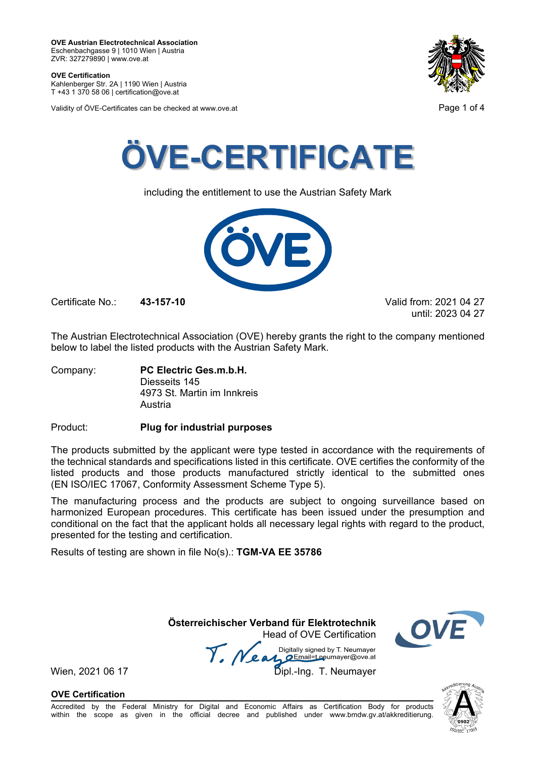**OVE Certification** Kahlenberger Str. 2A | 1190 Wien | Austria

T +43 1 370 58 06 | certification@ove.at

Validity of ÖVE-Certificates can be checked at www.ove.at **Page 1 of 4** Page 1 of 4





including the entitlement to use the Austrian Safety Mark



Certificate No.: **43-157-10** Valid from: 2021 04 27

until: 2023 04 27

The Austrian Electrotechnical Association (OVE) hereby grants the right to the company mentioned below to label the listed products with the Austrian Safety Mark.

Company: **PC Electric Ges.m.b.H.** Diesseits 145 4973 St. Martin im Innkreis Austria

Product: **Plug for industrial purposes**

The products submitted by the applicant were type tested in accordance with the requirements of the technical standards and specifications listed in this certificate. OVE certifies the conformity of the listed products and those products manufactured strictly identical to the submitted ones (EN ISO/IEC 17067, Conformity Assessment Scheme Type 5).

The manufacturing process and the products are subject to ongoing surveillance based on harmonized European procedures. This certificate has been issued under the presumption and conditional on the fact that the applicant holds all necessary legal rights with regard to the product, presented for the testing and certification.

Results of testing are shown in file No(s).: **TGM-VA EE 35786**

 **Österreichischer Verband für Elektrotechnik** Head of OVE Certification

Wien, 2021 06 17 Mean Manuscript Charles Billiany Signed by Livewingy, Wien, 2021 06 17 Digitally signed by T. Neumayer



**OVE Certification**

Accredited by the Federal Ministry for Digital and Economic Affairs as Certification Body for products within the scope as given in the official decree and published under www.bmdw.gv.at/akkreditierung.

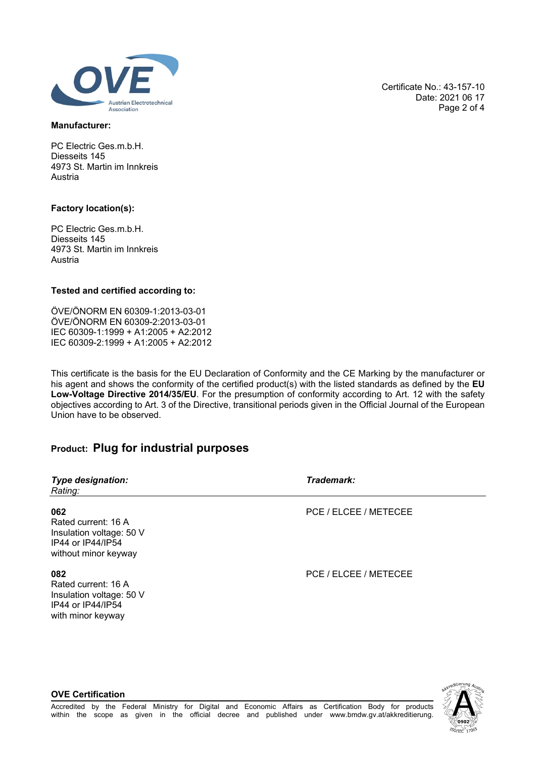

### **Manufacturer:**

PC Electric Ges.m.b.H. Diesseits 145 4973 St. Martin im Innkreis Austria

# **Factory location(s):**

PC Electric Ges.m.b.H. Diesseits 145 4973 St. Martin im Innkreis Austria

## **Tested and certified according to:**

ÖVE/ÖNORM EN 60309-1:2013-03-01 ÖVE/ÖNORM EN 60309-2:2013-03-01 IEC 60309-1:1999 + A1:2005 + A2:2012 IEC 60309-2:1999 + A1:2005 + A2:2012

This certificate is the basis for the EU Declaration of Conformity and the CE Marking by the manufacturer or his agent and shows the conformity of the certified product(s) with the listed standards as defined by the **EU Low-Voltage Directive 2014/35/EU**. For the presumption of conformity according to Art. 12 with the safety objectives according to Art. 3 of the Directive, transitional periods given in the Official Journal of the European Union have to be observed.

# **Product: Plug for industrial purposes**

| <b>Type designation:</b><br>Rating:                                                                 | Trademark:            |
|-----------------------------------------------------------------------------------------------------|-----------------------|
| 062<br>Rated current: 16 A<br>Insulation voltage: 50 V<br>IP44 or IP44/IP54<br>without minor keyway | PCE / ELCEE / METECEE |
| 082<br>Rated current: 16 A<br>Insulation voltage: 50 V<br>IP44 or IP44/IP54<br>with minor keyway    | PCE / ELCEE / METECEE |

Certificate No.: 43-157-10 Date: 2021 06 17 Page 2 of 4

### **OVE Certification**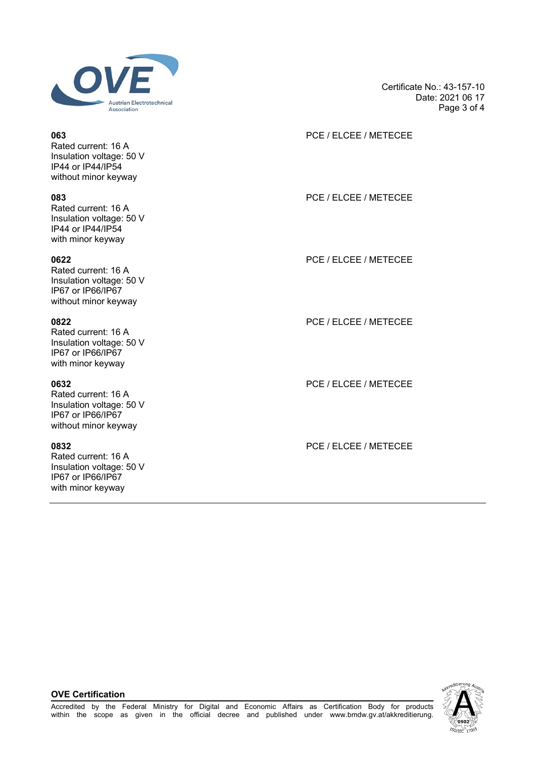

Rated current: 16 A Insulation voltage: 50 V IP44 or IP44/IP54 without minor keyway

Rated current: 16 A Insulation voltage: 50 V IP44 or IP44/IP54 with minor keyway

Rated current: 16 A Insulation voltage: 50 V IP67 or IP66/IP67 without minor keyway

Rated current: 16 A Insulation voltage: 50 V IP67 or IP66/IP67 with minor keyway

Rated current: 16 A Insulation voltage: 50 V IP67 or IP66/IP67 without minor keyway

Rated current: 16 A Insulation voltage: 50 V IP67 or IP66/IP67 with minor keyway

Certificate No.: 43-157-10 Date: 2021 06 17 Page 3 of 4

# **063** PCE / ELCEE / METECEE

**083** PCE / ELCEE / METECEE

**0622** PCE / ELCEE / METECEE

**0822** PCE / ELCEE / METECEE

**0632** PCE / ELCEE / METECEE

**0832** PCE / ELCEE / METECEE

**OVE Certification**